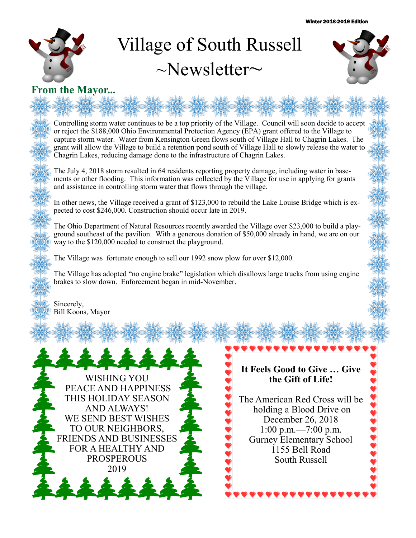

# Village of South Russell  $\sim$ Newsletter $\sim$



## **From the Mayor...**

Controlling storm water continues to be a top priority of the Village. Council will soon decide to accept or reject the \$188,000 Ohio Environmental Protection Agency (EPA) grant offered to the Village to capture storm water. Water from Kensington Green flows south of Village Hall to Chagrin Lakes. The grant will allow the Village to build a retention pond south of Village Hall to slowly release the water to Chagrin Lakes, reducing damage done to the infrastructure of Chagrin Lakes.

The July 4, 2018 storm resulted in 64 residents reporting property damage, including water in basements or other flooding. This information was collected by the Village for use in applying for grants and assistance in controlling storm water that flows through the village.

In other news, the Village received a grant of \$123,000 to rebuild the Lake Louise Bridge which is expected to cost \$246,000. Construction should occur late in 2019.

The Ohio Department of Natural Resources recently awarded the Village over \$23,000 to build a playground southeast of the pavilion. With a generous donation of \$50,000 already in hand, we are on our way to the \$120,000 needed to construct the playground.

The Village was fortunate enough to sell our 1992 snow plow for over \$12,000.

The Village has adopted "no engine brake" legislation which disallows large trucks from using engine brakes to slow down. Enforcement began in mid-November.

Sincerely, Bill Koons, Mayor



#### **It Feels Good to Give … Give the Gift of Life!**

The American Red Cross will be holding a Blood Drive on December 26, 2018 1:00 p.m.—7:00 p.m. Gurney Elementary School 1155 Bell Road South Russell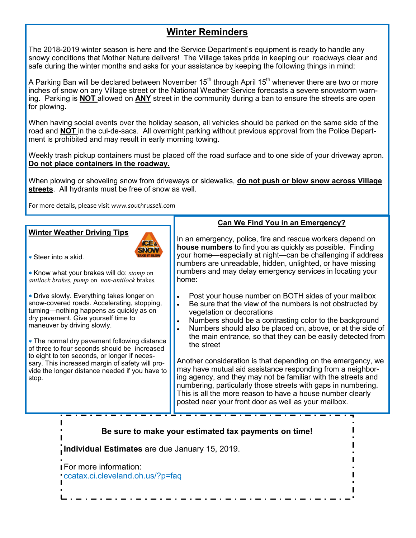## **Winter Reminders**

The 2018-2019 winter season is here and the Service Department's equipment is ready to handle any snowy conditions that Mother Nature delivers! The Village takes pride in keeping our roadways clear and safe during the winter months and asks for your assistance by keeping the following things in mind:

A Parking Ban will be declared between November 15<sup>th</sup> through April 15<sup>th</sup> whenever there are two or more inches of snow on any Village street or the National Weather Service forecasts a severe snowstorm warning. Parking is **NOT** allowed on **ANY** street in the community during a ban to ensure the streets are open for plowing.

When having social events over the holiday season, all vehicles should be parked on the same side of the road and **NOT** in the cul-de-sacs. All overnight parking without previous approval from the Police Department is prohibited and may result in early morning towing.

Weekly trash pickup containers must be placed off the road surface and to one side of your driveway apron. **Do not place containers in the roadway.**

When plowing or shoveling snow from driveways or sidewalks, **do not push or blow snow across Village streets**. All hydrants must be free of snow as well.

For more details, please visit *www.southrussell.com*

#### **Winter Weather Driving Tips**



Steer into a skid.

 Know what your brakes will do: *stomp* on *antilock brakes, pump* on *non-antilock* brakes*.*

 Drive slowly. Everything takes longer on snow-covered roads. Accelerating, stopping, turning—nothing happens as quickly as on dry pavement. Give yourself time to maneuver by driving slowly.

 The normal dry pavement following distance of three to four seconds should be increased to eight to ten seconds, or longer if necessary. This increased margin of safety will provide the longer distance needed if you have to stop.

#### **Can We Find You in an Emergency?**

In an emergency, police, fire and rescue workers depend on **house numbers** to find you as quickly as possible. Finding your home—especially at night—can be challenging if address numbers are unreadable, hidden, unlighted, or have missing numbers and may delay emergency services in locating your home:

- Post your house number on BOTH sides of your mailbox
- Be sure that the view of the numbers is not obstructed by vegetation or decorations
- Numbers should be a contrasting color to the background
- Numbers should also be placed on, above, or at the side of the main entrance, so that they can be easily detected from the street

Another consideration is that depending on the emergency, we may have mutual aid assistance responding from a neighboring agency, and they may not be familiar with the streets and numbering, particularly those streets with gaps in numbering. This is all the more reason to have a house number clearly posted near your front door as well as your mailbox.

**Be sure to make your estimated tax payments on time!**

**Individual Estimates** are due January 15, 2019.

For more information: ccatax.ci.cleveland.oh.us/?p=faq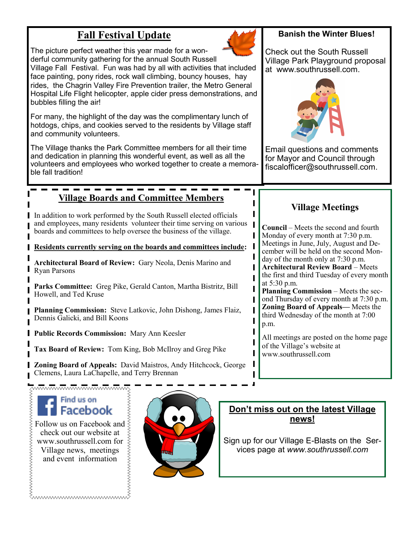# **Fall Festival Update**

The picture perfect weather this year made for a wonderful community gathering for the annual South Russell

Village Fall Festival. Fun was had by all with activities that included face painting, pony rides, rock wall climbing, bouncy houses, hay rides, the Chagrin Valley Fire Prevention trailer, the Metro General Hospital Life Flight helicopter, apple cider press demonstrations, and bubbles filling the air!

For many, the highlight of the day was the complimentary lunch of hotdogs, chips, and cookies served to the residents by Village staff and community volunteers.

The Village thanks the Park Committee members for all their time and dedication in planning this wonderful event, as well as all the volunteers and employees who worked together to create a memorable fall tradition!

# **Village Boards and Committee Members**

In addition to work performed by the South Russell elected officials and employees, many residents volunteer their time serving on various boards and committees to help oversee the business of the village.

**Residents currently serving on the boards and committees include:** 

**Architectural Board of Review:** Gary Neola, Denis Marino and Ryan Parsons

**Parks Committee:** Greg Pike, Gerald Canton, Martha Bistritz, Bill Howell, and Ted Kruse

**Planning Commission:** Steve Latkovic, John Dishong, James Flaiz, Dennis Galicki, and Bill Koons

**Public Records Commission:** Mary Ann Keesler

**Tax Board of Review:** Tom King, Bob McIlroy and Greg Pike

**Zoning Board of Appeals:** David Maistros, Andy Hitchcock, George Clemens, Laura LaChapelle, and Terry Brennan

# Find us on Facebook

Follow us on Facebook and  $\geq$ check out our website at www.southrussell.com for Village news, meetings and event information

Emmmmmmmmmmm

^^^^^^^^^^^^^^^^^^^^^^^^^^^^^^



### **Banish the Winter Blues!**

Check out the South Russell Village Park Playground proposal at www.southrussell.com.



Email questions and comments for Mayor and Council through fiscalofficer@southrussell.com.

# **Village Meetings**

**Council** – Meets the second and fourth Monday of every month at 7:30 p.m. Meetings in June, July, August and December will be held on the second Monday of the month only at 7:30 p.m. **Architectural Review Board** – Meets the first and third Tuesday of every month at 5:30 p.m.

**Planning Commission** – Meets the second Thursday of every month at 7:30 p.m. **Zoning Board of Appeals—** Meets the third Wednesday of the month at 7:00 p.m.

All meetings are posted on the home page of the Village's website at www.southrussell.com

**Don't miss out on the latest Village news!** 

Sign up for our Village E-Blasts on the Services page at *www.southrussell.com*